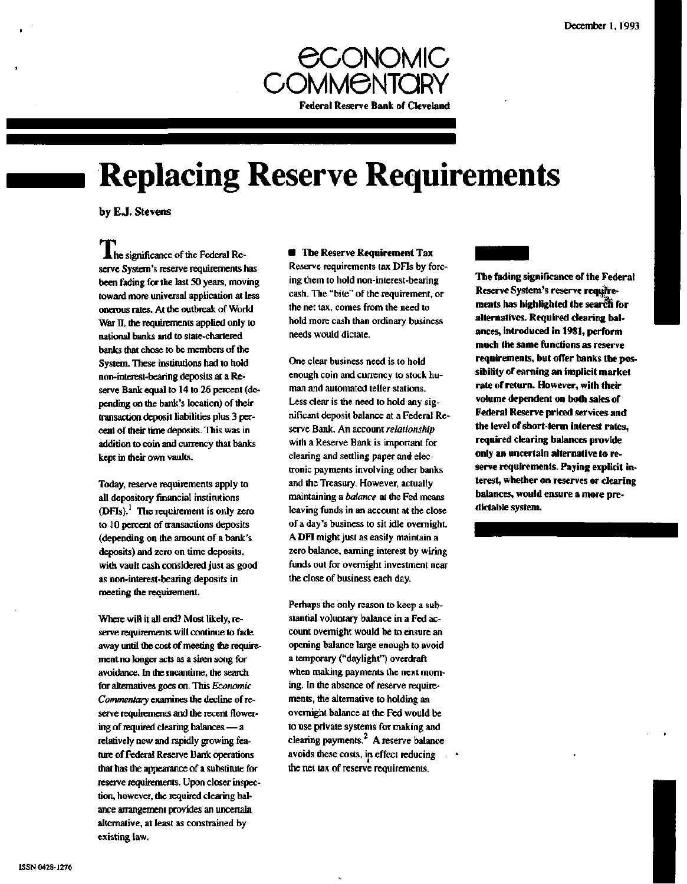

# **Replacing Reserve Requirements**

**by E.J. Stevens**

*M.* he significance of the Federal Reserve System's reserve requirements has been fading for the last 50 years, moving toward more universal application at less onerous rates. At the outbreak of World War II, the requirements applied only to national banks and to state-chartered banks **that** chose to be members of the System. These institutions had to hold non-interest-bearing deposits at a Reserve Bank equal to 14 to 26 percent (depending on the bank's location) of their transaction deposit liabilities plus 3 percent of their time deposits. This was in addition to coin and currency that banks kept in their own vaults.

Today, reserve requirements apply to all depository financial institutions  $(DFIs).<sup>1</sup>$  The requirement is only zero to 10 percent of transactions deposits (depending on the amount of a bank's deposits) and zero on time deposits, with vault cash considered just as good as non-interest-bearing deposits in meeting the requirement.

Where will it all end? Most likely, reserve requirements will continue to fade away until the cost of meeting the requirement no longer acts as a siren song for avoidance. In the meantime, the search for alternatives goes on. This *Economic Commentary* examines the decline of reserve requirements and the recent flowering of required clearing balances — a relatively new and rapidly growing feature of Federal Reserve Bank operations that has the appearance of a substitute for reserve requirements. Upon closer inspection, however, the required clearing balance arrangement provides an uncertain alternative, at least as constrained by existing law.

## **• The Reserve Requirement Tax** Reserve requirements tax DFIs by forcing them to hold non-interest-bearing cash. The "bite" of the requirement, or the net tax, comes from the need to hold more cash than ordinary business needs would dictate.

One clear business need is to hold enough coin and currency to stock human and automated teller stations. Less clear is the need to hold any significant deposit balance at a Federal Reserve Bank. An account *relationship* with a Reserve Bank is important for clearing and settling paper and electronic payments involving other banks and the Treasury. However, actually maintaining a *balance* at the Fed means leaving funds in an account at the close of a day's business to sit idle overnight. A DFI might just as easily maintain a zero balance, earning interest by wiring funds out for overnight investment near the close of business each day.

Perhaps the only reason to keep a substantial voluntary balance in a Fed account overnight would be to ensure an opening balance large enough to avoid a temporary ("daylight") overdraft when making payments the next morning. In the absence of reserve requirements, the alternative to holding an overnight balance at the Fed would be to use private systems for making and clearing payments. $<sup>2</sup>$  A reserve balance</sup> avoids these costs, in effect reducing the net tax of reserve requirements.

**The fading significance of the Federal Reserve System's reserve requirements has highlighted the search for alternatives. Required clearing balances, introduced in 1981, perform much the same functions as reserve requirements, but offer banks the possibility of earning an implicit market rate of return. However, with their volume dependent on both sales of Federal Reserve priced services and the level of short-term interest rates, required clearing balances provide only an uncertain alternative to reserve requirements. Paying explicit interest, whether on reserves or clearing balances, would ensure a more predictable system.**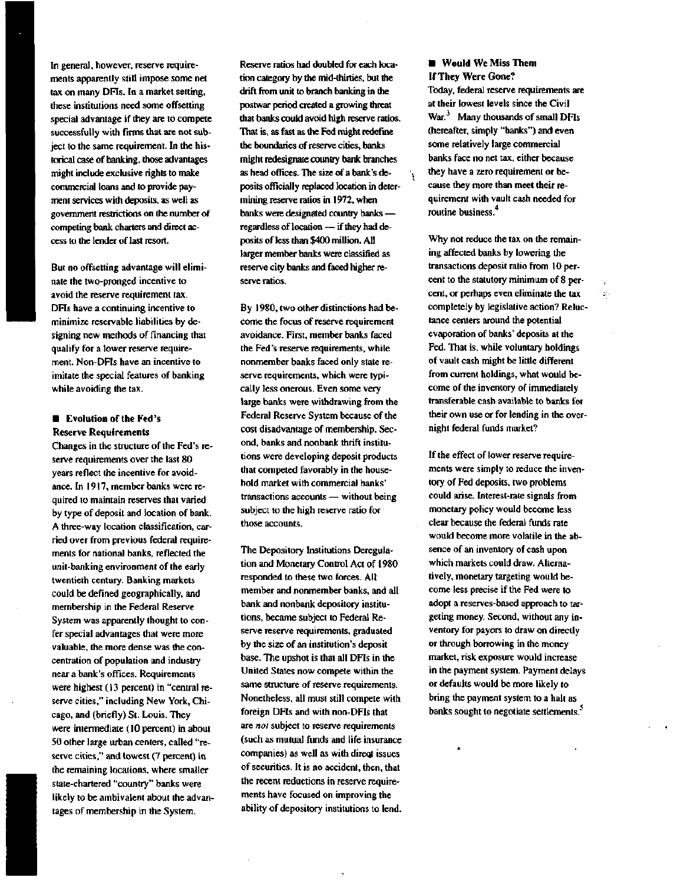In general, however, reserve requirements apparently still impose some net tax on many DFIs. In a market setting, these institutions need some offsetting special advantage if they are to compete successfully with firms that are not subject to the same requirement. In the historical case of banking, those advantages might include exclusive rights to make commercial loans and to provide payment services with deposits, as well as government restrictions on the number of competing bank charters and direct access to the lender of last resort.

But no offsetting advantage will eliminate the two-pronged incentive to avoid the reserve requirement tax. DFIs have a continuing incentive to minimize reservable liabilities by designing new methods of financing that qualify for a lower reserve requirement. Non-DFIs have an incentive to imitate the special features of banking while avoiding the tax.

### **• Evolution of the Fed's Reserve Requirements**

Changes in the structure of the Fed's reserve requirements over the last 80 years reflect the incentive for avoidance. In 1917, member banks were required to maintain reserves that varied by type of deposit and location of bank. A three-way location classification, carried over from previous federal requirements for national banks, reflected the unit-banking environment of the early twentieth century. Banking markets could be defined geographically, and membership in the Federal Reserve System was apparently thought to confer special advantages that were more valuable, the more dense was the concentration of population and industry near a bank's offices. Requirements were highest (13 percent) in "central reserve cities," including New York, Chicago, and (briefly) St. Louis. They were intermediate (10 percent) in about 50 other large urban centers, called "reserve cities," and lowest (7 percent) in the remaining locations, where smaller state-chartered "country" banks were likely to be ambivalent about the advantages of membership in the System.

Reserve ratios had doubled for each location category by the mid-thirties, but the drift from unit to branch banking in the postwar period created a growing threat that banks could avoid high reserve ratios. That is, as fast as the Fed might redefine the boundaries of reserve cities, banks might redesignate country bank branches as head offices. The size of a bank's deposits officially replaced location in determining reserve ratios in 1972, when banks were designated country banks regardless of location — if they had deposits of less than \$400 million. All larger member banks were classified as reserve city banks and faced higher reserve ratios.

By 1980, two other distinctions had become the focus of reserve requirement avoidance. First, member banks faced the Fed's reserve requirements, while nonmember banks faced only state reserve requirements, which were typically less onerous. Even some very large banks were withdrawing from the Federal Reserve System because of the cost disadvantage of membership. Second, banks and nonbank thrift institutions were developing deposit products that competed favorably in the household market with commercial banks' transactions accounts — without being subject to the high reserve ratio for those accounts.

The Depository Institutions Deregulation and Monetary Control Act of 1980 responded to these two forces. All member and nonmember banks, and all bank and nonbank depository institutions, became subject to Federal Reserve reserve requirements, graduated by the size of an institution's deposit base. The upshot is that all DFIs in the United States now compete within the same structure of reserve requirements. Nonetheless, all must still compete with foreign DFIs and with non-DFIs that are *not* subject to reserve requirements (such as mutual funds and life insurance companies) as well as with direqt issues of securities. It is no accident, then, that the recent reductions in reserve requirements have focused on improving the ability of depository institutions to lend.

**• Would** We Miss **Them If They Were Gone?**

١.

Today, federal reserve requirements are at their lowest levels since the Civil War.<sup>3</sup> Many thousands of small DFIs (hereafter, simply "banks") and even some relatively large commercial banks face no net tax, either because they have a zero requirement or because they more than meet their requirement with vault cash needed for routine business.

Why not reduce the tax on the remaining affected banks by lowering the transactions deposit ratio from 10 percent to the statutory minimum of 8 percent, or perhaps even eliminate the tax completely by legislative action? Reluctance centers around the potential evaporation of banks' deposits at the Fed. That is, while voluntary holdings of vault cash might be little different from current holdings, what would become of the inventory of immediately transferable cash available to banks for their own use or for lending in the overnight federal funds market?

 $\mathbb{R}^n$ 

If the effect of lower reserve requirements were simply to reduce the inventory of Fed deposits, two problems could arise. Interest-rate signals from monetary policy would become less clear because the federal funds rate would become more volatile in the absence of an inventory of cash upon which markets could draw. Alternatively, monetary targeting would become less precise if the Fed were to adopt a reserves-based approach to targeting money. Second, without any inventory for payors to draw on directly or through borrowing in the money market, risk exposure would increase in the payment system. Payment delays or defaults would be more likely to bring the payment system to a halt as banks sought to negotiate settlements.<sup>5</sup>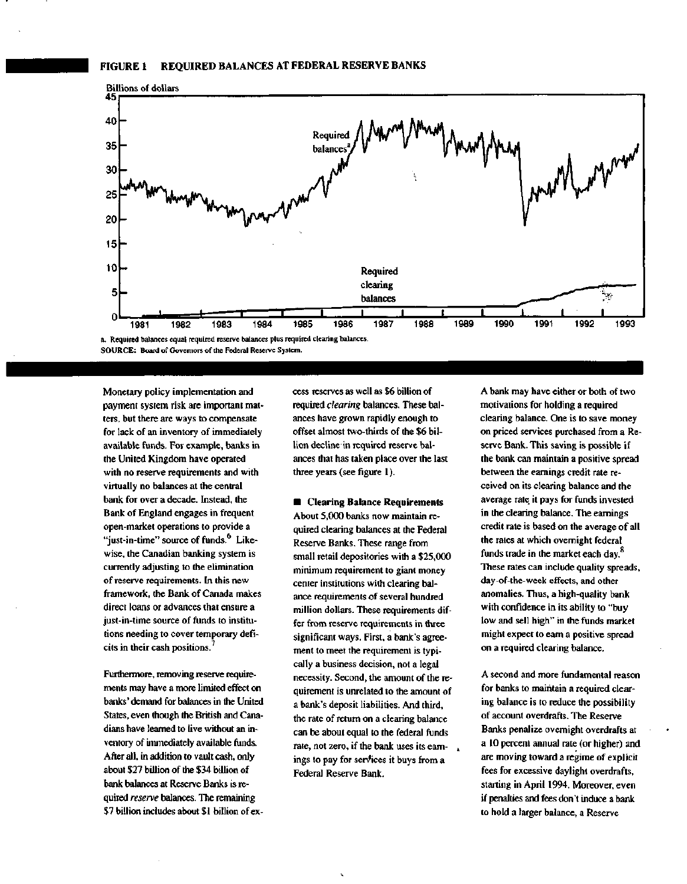

**SOURCE: Board of Governors of the Federal Reserve System.**

Monetary policy implementation and payment system risk are important matters, but there are ways to compensate for lack of an inventory of immediately available funds. For example, banks in the United Kingdom have operated with no reserve requirements and with virtually no balances at the central bank for over a decade. Instead, the Bank of England engages in frequent open-market operations to provide a "just-in-time" source of funds.<sup>6</sup> Likewise, the Canadian banking system is currently adjusting to the elimination of reserve requirements. In this new framework, the Bank of Canada makes direct loans or advances that ensure a just-in-time source of funds to institutions needing to cover temporary deficits in their cash positions.<sup>7</sup>

Furthermore, removing reserve requirements may have a more limited effect on banks' demand for balances in the United States, even though the British and Canadians have learned to live without an inventory of immediately available funds. After all, in addition to vault cash, only about \$27 billion of the \$34 billion of bank balances at Reserve Banks is required *reserve* balances. The remaining \$7 billion includes about \$1 billion of excess reserves as well as \$6 billion of required *clearing* balances. These balances have grown rapidly enough to offset almost two-thirds of the \$6 billion decline in required reserve balances that has taken place over the last three years (see figure 1).

**• Clearing Balance Requirements** About 5,000 banks now maintain required clearing balances at the Federal Reserve Banks. These range from small retail depositories with a \$25,000 minimum requirement to giant money center institutions with clearing balance requirements of several hundred million dollars. These requirements differ from reserve requirements in three significant ways. First, a bank's agreement to meet the requirement is typically a business decision, not a legal necessity. Second, the amount of the requirement is unrelated to the amount of a bank's deposit liabilities. And third, the rate of return on a clearing balance can be about equal to the federal funds rate, not zero, if the bank uses its earnings to pay for services it buys from a Federal Reserve Bank.

A bank may have either or both of two motivations for holding a required clearing balance. One is to save money on priced services purchased from a Reserve Bank. This saving is possible if the bank can maintain a positive spread between the earnings credit rate received on its clearing balance and the average rate it pays for funds invested in the clearing balance. The earnings credit rate is based on the average of all the rates at which overnight federal funds trade in the market each day.<sup>8</sup> These rates can include quality spreads, day-of-the-week effects, and other anomalies. Thus, a high-quality bank with confidence in its ability to "buy low and sell high" in the funds market might expect to earn a positive spread on a required clearing balance.

A second and more fundamental reason for banks to maintain a required clearing balance is to reduce the possibility of account overdrafts. The Reserve Banks penalize overnight overdrafts at a 10 percent annual rate (or higher) and are moving toward a regime of explicit fees for excessive daylight overdrafts, starting in April 1994. Moreover, even if penalties and fees don't induce a bank to hold a larger balance, a Reserve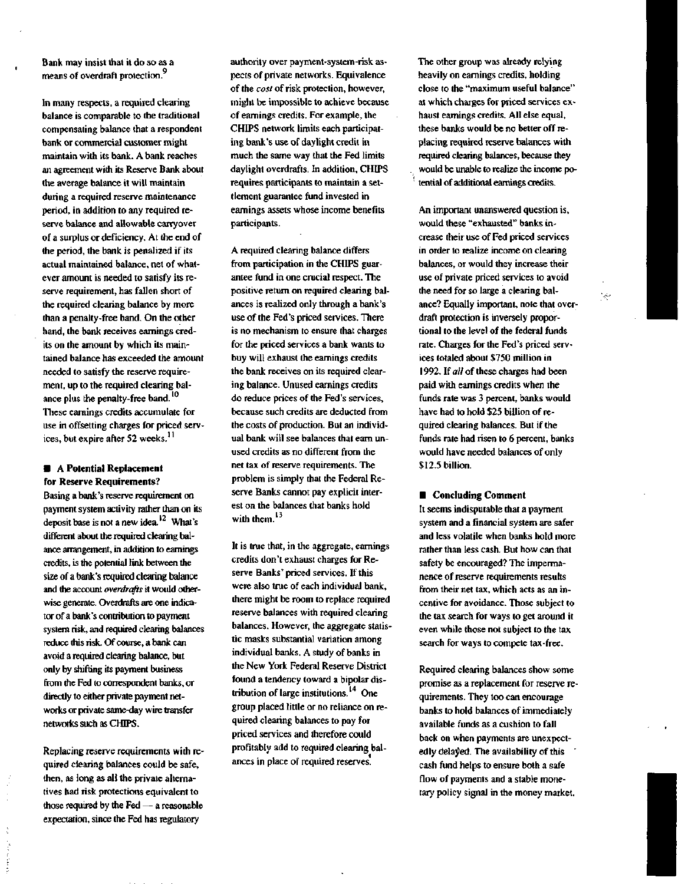Bank may insist that it do so as a means of overdraft protection.<sup>9</sup>

In many respects, a required clearing balance is comparable to the traditional compensating balance that a respondent bank or commercial customer might maintain with its bank. A bank reaches an agreement with its Reserve Bank about the average balance it will maintain during a required reserve maintenance period, in addition to any required reserve balance and allowable carryover of a surplus or deficiency. At the end of the period, the bank is penalized if its actual maintained balance, net of whatever amount is needed to satisfy its reserve requirement, has fallen short of the required clearing balance by more than a penalty-free band. On the other hand, the bank receives earnings credits on the amount by which its maintained balance has exceeded the amount needed to satisfy the reserve requirement, up to the required clearing balance plus the penalty-free band.<sup>10</sup> These earnings credits accumulate for use in offsetting charges for priced services, but expire after 52 weeks.''

### **• A Potential Replacement for Reserve Requirements?**

Basing a bank's reserve requirement on payment system activity rather than on its deposit base is not a new idea. $^{12}$  What's different about the required clearing balance arrangement, in addition to earnings credits, is the potential link between the size of a bank's required clearing balance and the account *overdrafts* it would otherwise generate. Overdrafts are one indicator of a bank's contribution to payment system risk, and required clearing balances reduce this risk. Of course, a bank can avoid a required clearing balance, but only by shifting its payment business from the Fed to correspondent banks, or directly to either private payment networks or private same-day wire transfer networks such as CHIPS.

Replacing reserve requirements with required clearing balances could be safe, then, as long as all the private alternatives had risk protections equivalent to those required by the Fed — a reasonable expectation, since the Fed has regulatory

authority over payment-system-risk aspects of private networks. Equivalence of the *cost* of risk protection, however, might be impossible to achieve because of earnings credits. For example, the CHIPS network limits each participating bank's use of daylight credit in much the same way that the Fed limits daylight overdrafts. In addition, CHIPS requires participants to maintain a settlement guarantee fund invested in earnings assets whose income benefits participants.

A required clearing balance differs from participation in the CHIPS guarantee fund in one crucial respect. The positive return on required clearing balances is realized only through a bank's use of the Fed's priced services. There is no mechanism to ensure that charges for the priced services a bank wants to buy will exhaust the earnings credits the bank receives on its required clearing balance. Unused earnings credits do reduce prices of the Fed's services, because such credits are deducted from the costs of production. But an individual bank will see balances that earn unused credits as no different from the net tax of reserve requirements. The problem is simply that the Federal Reserve Banks cannot pay explicit interest on the balances that banks hold with them. **13**

It is true that, in the aggregate, earnings credits don't exhaust charges for Reserve Banks' priced services. If this were also true of each individual bank, there might be room to replace required reserve balances with required clearing balances. However, the aggregate statistic masks substantial variation among individual banks. A study of banks in the New York Federal Reserve District found a tendency toward a bipolar distribution of large institutions.<sup>14</sup> One group placed little or no reliance on required clearing balances to pay for priced services and therefore could profitably add to required clearing balances in place of required reserves.

The other group was already relying heavily on earnings credits, holding close to the "maximum useful balance" at which charges for priced services exhaust earnings credits. All else equal, these banks would be no better off replacing required reserve balances with required clearing balances, because they would be unable to realize the income potential of additional earnings credits.

t.

An important unanswered question is, would these "exhausted" banks increase their use of Fed priced services in order to realize income on clearing balances, or would they increase their use of private priced services to avoid the need for so large a clearing balance? Equally important, note that overdraft protection is inversely proportional to the level of the federal funds rate. Charges for the Fed's priced services totaled about \$750 million in 1992. If *all* of these charges had been paid with earnings credits when the funds rate was 3 percent, banks would have had to hold \$25 billion of required clearing balances. But if the funds rate had risen to 6 percent, banks would have needed balances of only \$12.5 billion.

 $\omega$ 

### **• Concluding Comment**

It seems indisputable that a payment system and a financial system are safer and less volatile when banks hold more rather than less cash. But how can that safety be encouraged? The impermanence of reserve requirements results from their net tax, which acts as an incentive for avoidance. Those subject to the tax search for ways to get around it even while those not subject to the tax search for ways to compete tax-free.

Required clearing balances show some promise as a replacement for reserve requirements. They too can encourage banks to hold balances of immediately available funds as a cushion to fall back on when payments are unexpectedly delayed. The availability of this cash fund helps to ensure both a safe flow of payments and a stable monetary policy signal in the money market.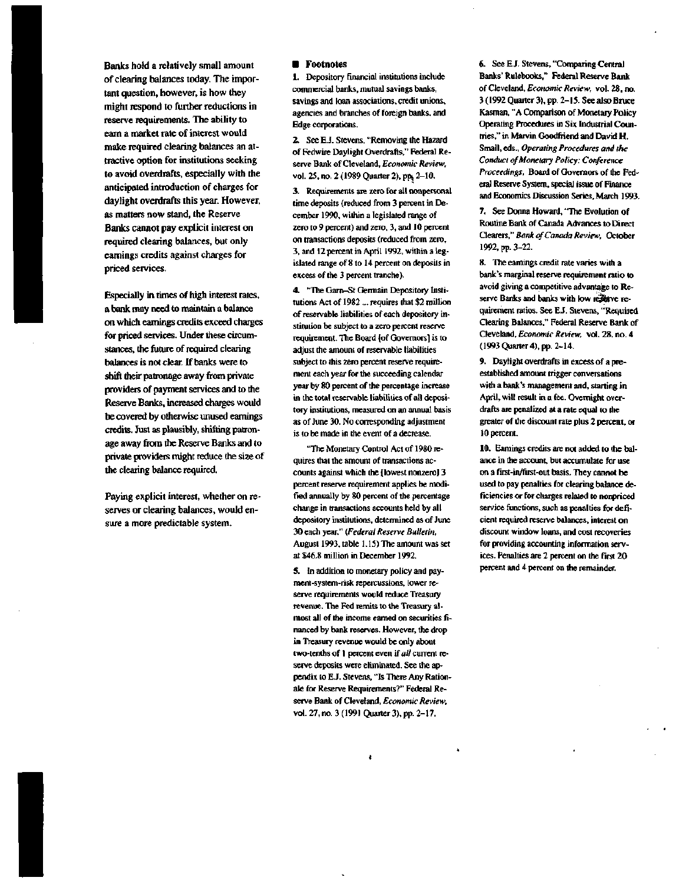Banks hold a relatively small amount of clearing balances today. The important question, however, is how they might respond to further reductions in reserve requirements. The ability to earn a market rate of interest would make required clearing balances an attractive option for institutions seeking to avoid overdrafts, especially with the anticipated introduction of charges for daylight overdrafts this year. However, as matters now stand, the Reserve Banks cannot pay explicit interest on required clearing balances, but only earnings credits against charges for priced services.

Especially in times of high interest rates, a bank may need to maintain a balance on which earnings credits exceed charges for priced services. Under these circumstances, the future of required clearing balances is not clear. If banks were to shift their patronage away from private providers of payment services and to the Reserve Banks, increased charges would be covered by otherwise unused earnings credits. Just as plausibly, shifting patronage away from the Reserve Banks and to private providers might reduce the size of the clearing balance required.

Paying explicit interest, whether on reserves or clearing balances, would ensure a more predictable system.

### **• Footnotes**

1. Depository financial institutions include commercial banks, mutual savings banks, savings and loan associations, credit unions, agencies and branches of foreign banks, and Edge corporations.

2. See E.J. Stevens, "Removing the Hazard of Fedwire Daylight Overdrafts," Federal Reserve Bank of Cleveland, *Economic Review,* vol. 25, no. 2 (1989 Quarter 2), pp<sub>3</sub> 2-10.

3. Requirements are zero for all nonpersonal time deposits (reduced from 3 percent in December 1990, within a legislated range of zero to 9 percent) and zero, 3, and 10 percent on transactions deposits (reduced from zero, 3. and 12 percent in April 1992, within a legislated range of 8 to 14 percent on deposits in excess of the 3 percent tranche).

4. "The Garn-St Germain Depository Institutions Act of 1982 ... requires that \$2 million of reservable liabilities of each depository institution be subject to a zero percent reserve requirement. The Board [of Governors] is to adjust the amount of reservable liabilities subject to this zero percent reserve requirement each year for the succeeding calendar year by 80 percent of the percentage increase in the total reservable liabilities of all depository institutions, measured on an annual basis as of June 30. No corresponding adjustment is to be made in the event of a decrease.

"The Monetary Control Act of 1980 requires that the amount of transactions accounts against which the [lowest nonzero] 3 percent reserve requirement applies be modified annually by 80 percent of the percentage change in transactions accounts held by all depository institutions, determined as of June 30 each year." *(Federal Reserve Bulletin,* August 1993, table 1.15) The amount was set at \$46.8 million in December 1992.

5. In addition to monetary policy and payment-system-risk repercussions, lower reserve requirements would reduce Treasury revenue. The Fed remits to the Treasury almost all of the income earned on securities financed by bank reserves. However, the drop in Treasury revenue would be only about two-tenths of 1 percent even if *all* current reserve deposits were eliminated. See the appendix to E.J. Stevens, "Is There Any Rationale for Reserve Requirements?" Federal Reserve Bank of Cleveland, *Economic Review,* vol. 27, no. 3 (1991 Quarter 3), pp. 2-17.

6. See E.J. Stevens, "Comparing Central Banks' Rulebooks," Federal Reserve Bank of Cleveland, *Economic Review,* vol. 28, no. 3 (1992 Quarter 3), pp. 2-15. See also Bruce Kasman, "A Comparison of Monetary Policy Operating Procedures in Six Industrial Countries," in Marvin Goodfnend and David H. Small, eds., *Operating Procedures and the Conduct of Monetary Policy: Conference Proceedings,* Board of Governors of the Federal Reserve System, special issue of Finance and Economics Discussion Series, March 1993.

7. See Donna Howard, "The Evolution of Routine Bank of Canada Advances to Direct Clearers," *Bank of Canada Review,* October 1992, pp. 3-22.

8. The earnings credit rate varies with a bank's marginal reserve requirement ratio to avoid giving a competitive advantage to Reserve Banks and banks with low reserve requirement ratios. See EJ. Stevens, "Required Clearing Balances," Federal Reserve Bank of Cleveland, *Economic Review,* vol. 28, no. 4 (1993 Quarter 4), pp. 2-14.

9. Daylight overdrafts in excess of a preestablished amount trigger conversations with a bank's management and, starting in April, will result in a fee. Overnight overdrafts are penalized at a rate equal to the greater of the discount rate plus 2 percent, or 10 percent.

10. Earnings credits are not added to the balance in the account, but accumulate for use on a first-in/first-out basis. They cannot be used to pay penalties for clearing balance deficiencies or for charges related to nonpriced service functions, such as penalties for deficient required reserve balances, interest on discount window loans, and cost recoveries for providing accounting information services. Penalties are 2 percent on the first 20 percent and 4 percent on the remainder.